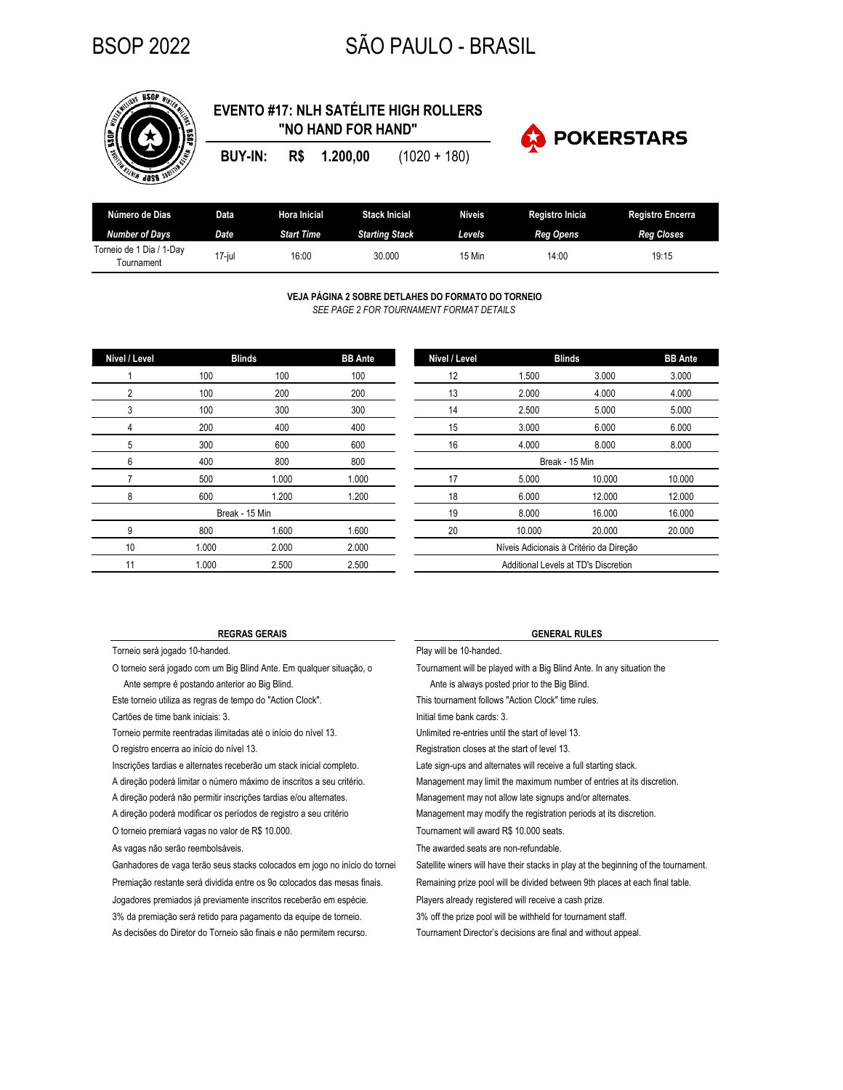# BSOP 2022 SÃO PAULO - BRASIL



## **EVENTO #17: NLH SATÉLITE HIGH ROLLERS "NO HAND FOR HAND"**

**BUY-IN: R\$ 1.200,00** (1020 + 180)



| Número de Dias                            | Data   | Hora Inicial      | <b>Stack Inicial</b>  | Níveis | <b>Registro Inicia</b> | <b>Registro Encerra</b> |
|-------------------------------------------|--------|-------------------|-----------------------|--------|------------------------|-------------------------|
| Number of Davs                            | Date   | <b>Start Time</b> | <b>Starting Stack</b> | Levels | <b>Reg Opens</b>       | <b>Reg Closes</b>       |
| Torneio de 1 Dia /<br>1-Dav<br>Fournament | 17-iul | 16:00             | 30.000                | 15 Min | 14:00                  | 19:15                   |

**VEJA PÁGINA 2 SOBRE DETLAHES DO FORMATO DO TORNEIO** *SEE PAGE 2 FOR TOURNAMENT FORMAT DETAILS*

| Nível / Level  |       | <b>Blinds</b> | <b>BB</b> Ante | Nível / Level             |                              | <b>Blinds</b> |  |
|----------------|-------|---------------|----------------|---------------------------|------------------------------|---------------|--|
|                | 100   | 100           | 100            | 12                        | 1.500                        |               |  |
| $\overline{2}$ | 100   | 200           | 200            | 13                        | 2.000                        |               |  |
| 3              | 100   | 300           | 300            | 14                        | 2.500                        |               |  |
| 4              | 200   | 400           | 400            | 15                        | 3.000                        |               |  |
| 5              | 300   | 600           | 600            | 16                        | 4.000                        |               |  |
| 6              | 400   | 800           | 800            |                           | Break - 15 Min               |               |  |
|                | 500   | 1.000         | 1.000          | 17                        | 5.000                        |               |  |
| 8              | 600   | 1.200         | 1.200          | 18                        | 6.000                        |               |  |
| Break - 15 Min |       |               |                | 19                        | 8.000                        |               |  |
| 9              | 800   | 1.600         | 1.600          | 20                        | 10.000                       |               |  |
| 10             | 1.000 | 2.000         | 2.000          |                           | Níveis Adicionais à Critério |               |  |
| 11             | 1.000 | 2.500         | 2.500          | Additional Levels at TD's |                              |               |  |

| Nível / Level                           |                | <b>Blinds</b> | <b>BB</b> Ante |  |  |  |  |
|-----------------------------------------|----------------|---------------|----------------|--|--|--|--|
| 12                                      | 1.500          | 3.000         | 3.000          |  |  |  |  |
| 13                                      | 2.000          | 4.000         | 4.000          |  |  |  |  |
| 14                                      | 2.500          | 5.000         | 5.000          |  |  |  |  |
| 15                                      | 3.000          | 6.000         | 6.000          |  |  |  |  |
| 16                                      | 4.000          | 8.000         | 8.000          |  |  |  |  |
|                                         | Break - 15 Min |               |                |  |  |  |  |
| 17                                      | 5.000          | 10.000        | 10.000         |  |  |  |  |
| 18                                      | 6.000          | 12.000        | 12.000         |  |  |  |  |
| 19                                      | 8.000          | 16.000        | 16.000         |  |  |  |  |
| 20                                      | 10.000         | 20.000        | 20.000         |  |  |  |  |
| Níveis Adicionais à Critério da Direção |                |               |                |  |  |  |  |
| Additional Levels at TD's Discretion    |                |               |                |  |  |  |  |

Torneio será jogado 10-handed. **Play will be 10-handed**.

Ante sempre é postando anterior ao Big Blind. Ante is always posted prior to the Big Blind.

Este torneio utiliza as regras de tempo do "Action Clock".

Cartões de time bank iniciais: 3.

O registro encerra ao início do nível 13. Torneio permite reentradas ilimitadas até o início do nível 13. Unlimited re-entries until the start of level 13.

Inscrições tardias e alternates receberão um stack inicial completo. A direção poderá limitar o número máximo de inscritos a seu critério.

A direção poderá não permitir inscrições tardias e/ou alternates. A direção poderá modificar os períodos de registro a seu critério

O torneio premiará vagas no valor de R\$ 10.000.

As vagas não serão reembolsáveis.

Jogadores premiados já previamente inscritos receberão em espécie. 3% da premiação será retido para pagamento da equipe de torneio. As decisões do Diretor do Torneio são finais e não permitem recurso. Ganhadores de vaga terão seus stacks colocados em jogo no início do tornei Premiação restante será dividida entre os 9o colocados das mesas finais.

### **REGRAS GERAIS GENERAL RULES**

O torneio será jogado com um Big Blind Ante. Em qualquer situação, o Tournament will be played with a Big Blind Ante. In any situation the

This tournament follows "Action Clock" time rules.

Initial time bank cards: 3.

Registration closes at the start of level 13.

Late sign-ups and alternates will receive a full starting stack.

Management may limit the maximum number of entries at its discretion.

Management may not allow late signups and/or alternates.

Management may modify the registration periods at its discretion.

Tournament will award R\$ 10.000 seats.

The awarded seats are non-refundable.

Satellite winers will have their stacks in play at the beginning of the tournament.

Remaining prize pool will be divided between 9th places at each final table.

Players already registered will receive a cash prize.

3% off the prize pool will be withheld for tournament staff.

Tournament Director's decisions are final and without appeal.